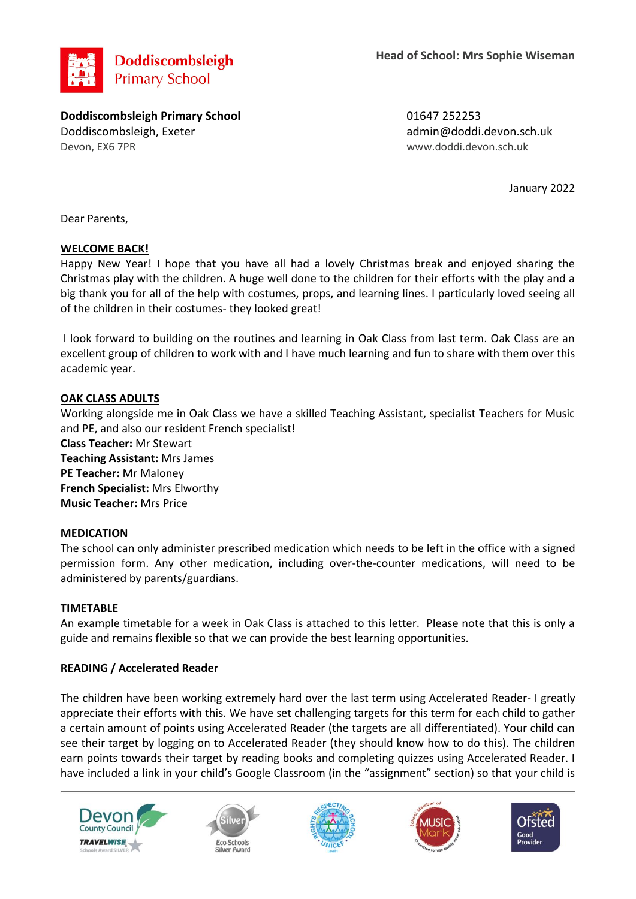

**Doddiscombsleigh Primary School** 01647 252253 Doddiscombsleigh, Exeter admin@doddi.devon.sch.uk Devon, EX6 7PR www.doddi.devon.sch.uk

January 2022

Dear Parents,

# **WELCOME BACK!**

Happy New Year! I hope that you have all had a lovely Christmas break and enjoyed sharing the Christmas play with the children. A huge well done to the children for their efforts with the play and a big thank you for all of the help with costumes, props, and learning lines. I particularly loved seeing all of the children in their costumes- they looked great!

I look forward to building on the routines and learning in Oak Class from last term. Oak Class are an excellent group of children to work with and I have much learning and fun to share with them over this academic year.

# **OAK CLASS ADULTS**

Working alongside me in Oak Class we have a skilled Teaching Assistant, specialist Teachers for Music and PE, and also our resident French specialist!

**Class Teacher:** Mr Stewart **Teaching Assistant:** Mrs James **PE Teacher:** Mr Maloney **French Specialist:** Mrs Elworthy **Music Teacher:** Mrs Price

## **MEDICATION**

The school can only administer prescribed medication which needs to be left in the office with a signed permission form. Any other medication, including over-the-counter medications, will need to be administered by parents/guardians.

## **TIMETABLE**

An example timetable for a week in Oak Class is attached to this letter. Please note that this is only a guide and remains flexible so that we can provide the best learning opportunities.

## **READING / Accelerated Reader**

The children have been working extremely hard over the last term using Accelerated Reader- I greatly appreciate their efforts with this. We have set challenging targets for this term for each child to gather a certain amount of points using Accelerated Reader (the targets are all differentiated). Your child can see their target by logging on to Accelerated Reader (they should know how to do this). The children earn points towards their target by reading books and completing quizzes using Accelerated Reader. I have included a link in your child's Google Classroom (in the "assignment" section) so that your child is



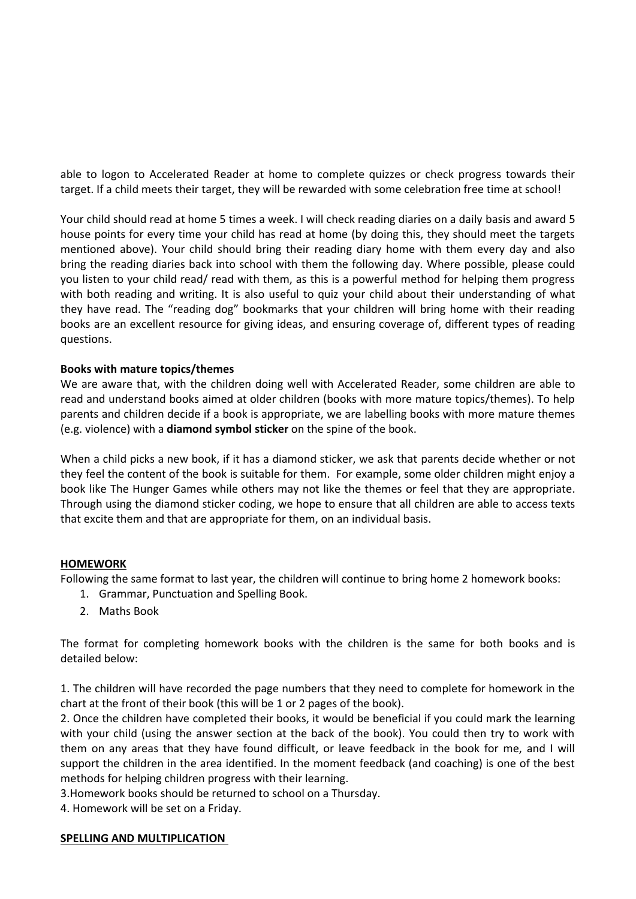able to logon to Accelerated Reader at home to complete quizzes or check progress towards their target. If a child meets their target, they will be rewarded with some celebration free time at school!

Your child should read at home 5 times a week. I will check reading diaries on a daily basis and award 5 house points for every time your child has read at home (by doing this, they should meet the targets mentioned above). Your child should bring their reading diary home with them every day and also bring the reading diaries back into school with them the following day. Where possible, please could you listen to your child read/ read with them, as this is a powerful method for helping them progress with both reading and writing. It is also useful to quiz your child about their understanding of what they have read. The "reading dog" bookmarks that your children will bring home with their reading books are an excellent resource for giving ideas, and ensuring coverage of, different types of reading questions.

## **Books with mature topics/themes**

We are aware that, with the children doing well with Accelerated Reader, some children are able to read and understand books aimed at older children (books with more mature topics/themes). To help parents and children decide if a book is appropriate, we are labelling books with more mature themes (e.g. violence) with a **diamond symbol sticker** on the spine of the book.

When a child picks a new book, if it has a diamond sticker, we ask that parents decide whether or not they feel the content of the book is suitable for them. For example, some older children might enjoy a book like The Hunger Games while others may not like the themes or feel that they are appropriate. Through using the diamond sticker coding, we hope to ensure that all children are able to access texts that excite them and that are appropriate for them, on an individual basis.

#### **HOMEWORK**

Following the same format to last year, the children will continue to bring home 2 homework books:

- 1. Grammar, Punctuation and Spelling Book.
- 2. Maths Book

The format for completing homework books with the children is the same for both books and is detailed below:

1. The children will have recorded the page numbers that they need to complete for homework in the chart at the front of their book (this will be 1 or 2 pages of the book).

2. Once the children have completed their books, it would be beneficial if you could mark the learning with your child (using the answer section at the back of the book). You could then try to work with them on any areas that they have found difficult, or leave feedback in the book for me, and I will support the children in the area identified. In the moment feedback (and coaching) is one of the best methods for helping children progress with their learning.

3.Homework books should be returned to school on a Thursday.

4. Homework will be set on a Friday.

#### **SPELLING AND MULTIPLICATION**